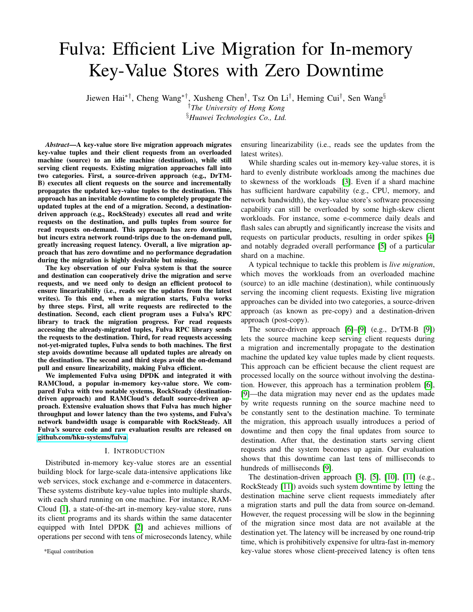# Fulva: Efficient Live Migration for In-memory Key-Value Stores with Zero Downtime

Jiewen Hai∗†, Cheng Wang∗†, Xusheng Chen† , Tsz On Li† , Heming Cui† , Sen Wang§ †*The University of Hong Kong*

§*Huawei Technologies Co., Ltd.*

*Abstract*—A key-value store live migration approach migrates key-value tuples and their client requests from an overloaded machine (source) to an idle machine (destination), while still serving client requests. Existing migration approaches fall into two categories. First, a source-driven approach (e.g., DrTM-B) executes all client requests on the source and incrementally propagates the updated key-value tuples to the destination. This approach has an inevitable downtime to completely propagate the updated tuples at the end of a migration. Second, a destinationdriven approach (e.g., RockSteady) executes all read and write requests on the destination, and pulls tuples from source for read requests on-demand. This approach has zero downtime, but incurs extra network round-trips due to the on-demand pull, greatly increasing request latency. Overall, a live migration approach that has zero downtime and no performance degradation during the migration is highly desirable but missing.

The key observation of our Fulva system is that the source and destination can cooperatively drive the migration and serve requests, and we need only to design an efficient protocol to ensure linearizability (i.e., reads see the updates from the latest writes). To this end, when a migration starts, Fulva works by three steps. First, all write requests are redirected to the destination. Second, each client program uses a Fulva's RPC library to track the migration progress. For read requests accessing the already-migrated tuples, Fulva RPC library sends the requests to the destination. Third, for read requests accessing not-yet-migrated tuples, Fulva sends to both machines. The first step avoids downtime because all updated tuples are already on the destination. The second and third steps avoid the on-demand pull and ensure linearizability, making Fulva efficient.

We implemented Fulva using DPDK and integrated it with RAMCloud, a popular in-memory key-value store. We compared Fulva with two notable systems, RockSteady (destinationdriven approach) and RAMCloud's default source-driven approach. Extensive evaluation shows that Fulva has much higher throughput and lower latency than the two systems, and Fulva's network bandwidth usage is comparable with RockSteady. All Fulva's source code and raw evaluation results are released on [github.com/hku-systems/fulva.](github.com/hku-systems/fulva)

#### I. INTRODUCTION

Distributed in-memory key-value stores are an essential building block for large-scale data-intensive applications like web services, stock exchange and e-commerce in datacenters. These systems distribute key-value tuples into multiple shards, with each shard running on one machine. For instance, RAM-Cloud [\[1\]](#page-9-0), a state-of-the-art in-memory key-value store, runs its client programs and its shards within the same datacenter equipped with Intel DPDK [\[2\]](#page-9-1) and achieves millions of operations per second with tens of microseconds latency, while

\*Equal contribution

ensuring linearizability (i.e., reads see the updates from the latest writes).

While sharding scales out in-memory key-value stores, it is hard to evenly distribute workloads among the machines due to skewness of the workloads [\[3\]](#page-9-2). Even if a shard machine has sufficient hardware capability (e.g., CPU, memory, and network bandwidth), the key-value store's software processing capability can still be overloaded by some high-skew client workloads. For instance, some e-commerce daily deals and flash sales can abruptly and significantly increase the visits and requests on particular products, resulting in order spikes [\[4\]](#page-9-3) and notably degraded overall performance [\[5\]](#page-9-4) of a particular shard on a machine.

A typical technique to tackle this problem is *live migration*, which moves the workloads from an overloaded machine (source) to an idle machine (destination), while continuously serving the incoming client requests. Existing live migration approaches can be divided into two categories, a source-driven approach (as known as pre-copy) and a destination-driven approach (post-copy).

The source-driven approach [\[6\]](#page-9-5)–[\[9\]](#page-9-6) (e.g., DrTM-B [\[9\]](#page-9-6)) lets the source machine keep serving client requests during a migration and incrementally propagate to the destination machine the updated key value tuples made by client requests. This approach can be efficient because the client request are processed locally on the source without involving the destination. However, this approach has a termination problem [\[6\]](#page-9-5), [\[9\]](#page-9-6)—the data migration may never end as the updates made by write requests running on the source machine need to be constantly sent to the destination machine. To terminate the migration, this approach usually introduces a period of downtime and then copy the final updates from source to destination. After that, the destination starts serving client requests and the system becomes up again. Our evaluation shows that this downtime can last tens of milliseconds to hundreds of milliseconds [\[9\]](#page-9-6).

The destination-driven approach [\[3\]](#page-9-2), [\[5\]](#page-9-4), [\[10\]](#page-9-7), [\[11\]](#page-9-8) (e.g., RockSteady [\[11\]](#page-9-8)) avoids such system downtime by letting the destination machine serve client requests immediately after a migration starts and pull the data from source on-demand. However, the request processing will be slow in the beginning of the migration since most data are not available at the destination yet. The latency will be increased by one round-trip time, which is prohibitively expensive for ultra-fast in-memory key-value stores whose client-preceived latency is often tens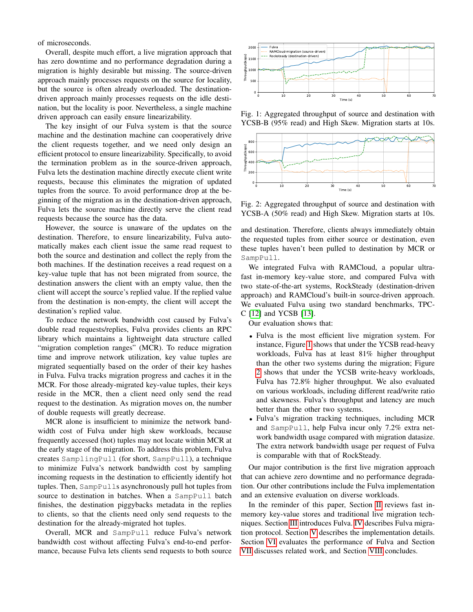of microseconds.

Overall, despite much effort, a live migration approach that has zero downtime and no performance degradation during a migration is highly desirable but missing. The source-driven approach mainly processes requests on the source for locality, but the source is often already overloaded. The destinationdriven approach mainly processes requests on the idle destination, but the locality is poor. Nevertheless, a single machine driven approach can easily ensure linearizability.

The key insight of our Fulva system is that the source machine and the destination machine can cooperatively drive the client requests together, and we need only design an efficient protocol to ensure linearizability. Specifically, to avoid the termination problem as in the source-driven approach, Fulva lets the destination machine directly execute client write requests, because this eliminates the migration of updated tuples from the source. To avoid performance drop at the beginning of the migration as in the destination-driven approach, Fulva lets the source machine directly serve the client read requests because the source has the data.

However, the source is unaware of the updates on the destination. Therefore, to ensure linearizability, Fulva automatically makes each client issue the same read request to both the source and destination and collect the reply from the both machines. If the destination receives a read request on a key-value tuple that has not been migrated from source, the destination answers the client with an empty value, then the client will accept the source's replied value. If the replied value from the destination is non-empty, the client will accept the destination's replied value.

To reduce the network bandwidth cost caused by Fulva's double read requests/replies, Fulva provides clients an RPC library which maintains a lightweight data structure called "migration completion ranges" (MCR). To reduce migration time and improve network utilization, key value tuples are migrated sequentially based on the order of their key hashes in Fulva. Fulva tracks migration progress and caches it in the MCR. For those already-migrated key-value tuples, their keys reside in the MCR, then a client need only send the read request to the destination. As migration moves on, the number of double requests will greatly decrease.

MCR alone is insufficient to minimize the network bandwidth cost of Fulva under high skew workloads, because frequently accessed (hot) tuples may not locate within MCR at the early stage of the migration. To address this problem, Fulva creates SamplingPull (for short, SampPull), a technique to minimize Fulva's network bandwidth cost by sampling incoming requests in the destination to efficiently identify hot tuples. Then, SampPulls asynchronously pull hot tuples from source to destination in batches. When a SampPull batch finishes, the destination piggybacks metadata in the replies to clients, so that the clients need only send requests to the destination for the already-migrated hot tuples.

Overall, MCR and SampPull reduce Fulva's network bandwidth cost without affecting Fulva's end-to-end performance, because Fulva lets clients send requests to both source

<span id="page-1-0"></span>

Fig. 1: Aggregated throughput of source and destination with YCSB-B (95% read) and High Skew. Migration starts at 10s.

<span id="page-1-1"></span>

Fig. 2: Aggregated throughput of source and destination with YCSB-A (50% read) and High Skew. Migration starts at 10s.

and destination. Therefore, clients always immediately obtain the requested tuples from either source or destination, even these tuples haven't been pulled to destination by MCR or SampPull.

We integrated Fulva with RAMCloud, a popular ultrafast in-memory key-value store, and compared Fulva with two state-of-the-art systems, RockSteady (destination-driven approach) and RAMCloud's built-in source-driven approach. We evaluated Fulva using two standard benchmarks, TPC-C [\[12\]](#page-9-9) and YCSB [\[13\]](#page-9-10).

Our evaluation shows that:

- Fulva is the most efficient live migration system. For instance, Figure [1](#page-1-0) shows that under the YCSB read-heavy workloads, Fulva has at least 81% higher throughput than the other two systems during the migration; Figure [2](#page-1-1) shows that under the YCSB write-heavy workloads, Fulva has 72.8% higher throughput. We also evaluated on various workloads, including different read/write ratio and skewness. Fulva's throughput and latency are much better than the other two systems.
- Fulva's migration tracking techniques, including MCR and SampPull, help Fulva incur only 7.2% extra network bandwidth usage compared with migration datasize. The extra network bandwidth usage per request of Fulva is comparable with that of RockSteady.

Our major contribution is the first live migration approach that can achieve zero downtime and no performance degradation. Our other contributions include the Fulva implementation and an extensive evaluation on diverse workloads.

In the reminder of this paper, Section [II](#page-2-0) reviews fast inmemory key-value stores and traditional live migration techniques. Section [III](#page-2-1) introduces Fulva. [IV](#page-3-0) describes Fulva migration protocol. Section [V](#page-4-0) describes the implementation details. Section [VI](#page-5-0) evaluates the performance of Fulva and Section [VII](#page-8-0) discusses related work, and Section [VIII](#page-9-11) concludes.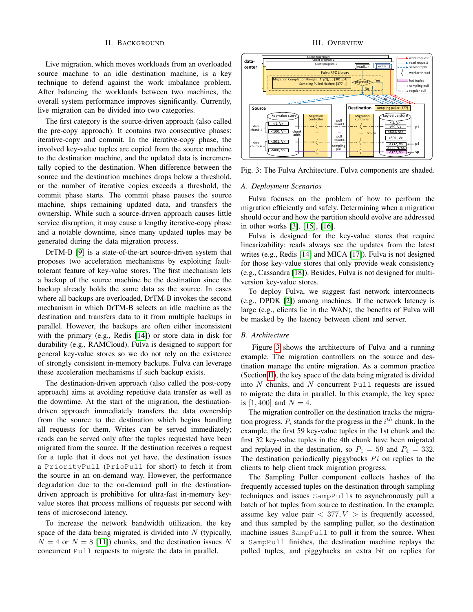## II. BACKGROUND

<span id="page-2-0"></span>Live migration, which moves workloads from an overloaded source machine to an idle destination machine, is a key technique to defend against the work imbalance problem. After balancing the workloads between two machines, the overall system performance improves significantly. Currently, live migration can be divided into two categories.

The first category is the source-driven approach (also called the pre-copy approach). It contains two consecutive phases: iterative-copy and commit. In the iterative-copy phase, the involved key-value tuples are copied from the source machine to the destination machine, and the updated data is incrementally copied to the destination. When difference between the source and the destination machines drops below a threshold, or the number of iterative copies exceeds a threshold, the commit phase starts. The commit phase pauses the source machine, ships remaining updated data, and transfers the ownership. While such a source-driven approach causes little service disruption, it may cause a lengthy iterative-copy phase and a notable downtime, since many updated tuples may be generated during the data migration process.

DrTM-B [\[9\]](#page-9-6) is a state-of-the-art source-driven system that proposes two acceleration mechanisms by exploiting faulttolerant feature of key-value stores. The first mechanism lets a backup of the source machine be the destination since the backup already holds the same data as the source. In cases where all backups are overloaded, DrTM-B invokes the second mechanism in which DrTM-B selects an idle machine as the destination and transfers data to it from multiple backups in parallel. However, the backups are often either inconsistent with the primary (e.g., Redis [\[14\]](#page-9-12)) or store data in disk for durability (e.g., RAMCloud). Fulva is designed to support for general key-value stores so we do not rely on the existence of strongly consistent in-memory backups. Fulva can leverage these acceleration mechanisms if such backup exists.

The destination-driven approach (also called the post-copy approach) aims at avoiding repetitive data transfer as well as the downtime. At the start of the migration, the destinationdriven approach immediately transfers the data ownership from the source to the destination which begins handling all requests for them. Writes can be served immediately; reads can be served only after the tuples requested have been migrated from the source. If the destination receives a request for a tuple that it does not yet have, the destination issues a PriorityPull (PrioPull for short) to fetch it from the source in an on-demand way. However, the performance degradation due to the on-demand pull in the destinationdriven approach is prohibitive for ultra-fast in-memory keyvalue stores that process millions of requests per second with tens of microsecond latency.

To increase the network bandwidth utilization, the key space of the data being migrated is divided into  $N$  (typically,  $N = 4$  or  $N = 8$  [\[11\]](#page-9-8)) chunks, and the destination issues N concurrent Pull requests to migrate the data in parallel.

#### III. OVERVIEW

<span id="page-2-2"></span><span id="page-2-1"></span>

Fig. 3: The Fulva Architecture. Fulva components are shaded.

## *A. Deployment Scenarios*

Fulva focuses on the problem of how to perform the migration efficiently and safely. Determining when a migration should occur and how the partition should evolve are addressed in other works [\[3\]](#page-9-2), [\[15\]](#page-9-13), [\[16\]](#page-9-14).

Fulva is designed for the key-value stores that require linearizability: reads always see the updates from the latest writes (e.g., Redis [\[14\]](#page-9-12) and MICA [\[17\]](#page-9-15)). Fulva is not designed for those key-value stores that only provide weak consistency (e.g., Cassandra [\[18\]](#page-9-16)). Besides, Fulva is not designed for multiversion key-value stores.

To deploy Fulva, we suggest fast network interconnects (e.g., DPDK [\[2\]](#page-9-1)) among machines. If the network latency is large (e.g., clients lie in the WAN), the benefits of Fulva will be masked by the latency between client and server.

### *B. Architecture*

Figure [3](#page-2-2) shows the architecture of Fulva and a running example. The migration controllers on the source and destination manage the entire migration. As a common practice (Section [II\)](#page-2-0), the key space of the data being migrated is divided into  $N$  chunks, and  $N$  concurrent Pull requests are issued to migrate the data in parallel. In this example, the key space is [1,400] and  $N = 4$ .

The migration controller on the destination tracks the migration progress.  $P_i$  stands for the progress in the  $i^{th}$  chunk. In the example, the first 59 key-value tuples in the 1st chunk and the first 32 key-value tuples in the 4th chunk have been migrated and replayed in the destination, so  $P_1 = 59$  and  $P_4 = 332$ . The destination periodically piggybacks  $Pi$  on replies to the clients to help client track migration progress.

The Sampling Puller component collects hashes of the frequently accessed tuples on the destination through sampling techniques and issues SampPulls to asynchronously pull a batch of hot tuples from source to destination. In the example, assume key value pair  $\langle 377, V \rangle$  is frequently accessed, and thus sampled by the sampling puller, so the destination machine issues SampPull to pull it from the source. When a SampPull finishes, the destination machine replays the pulled tuples, and piggybacks an extra bit on replies for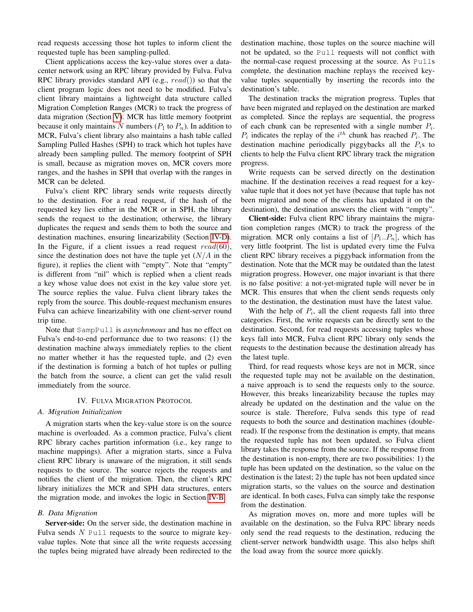read requests accessing those hot tuples to inform client the requested tuple has been sampling-pulled.

Client applications access the key-value stores over a datacenter network using an RPC library provided by Fulva. Fulva RPC library provides standard API (e.g.,  $read()$ ) so that the client program logic does not need to be modified. Fulva's client library maintains a lightweight data structure called Migration Completion Ranges (MCR) to track the progress of data migration (Section [V\)](#page-4-0). MCR has little memory footprint because it only maintains N numbers ( $P_1$  to  $P_n$ ). In addition to MCR, Fulva's client library also maintains a hash table called Sampling Pulled Hashes (SPH) to track which hot tuples have already been sampling pulled. The memory footprint of SPH is small, because as migration moves on, MCR covers more ranges, and the hashes in SPH that overlap with the ranges in MCR can be deleted.

Fulva's client RPC library sends write requests directly to the destination. For a read request, if the hash of the requested key lies either in the MCR or in SPH, the library sends the request to the destination; otherwise, the library duplicates the request and sends them to both the source and destination machines, ensuring linearizability (Section [IV-D\)](#page-4-1). In the Figure, if a client issues a read request  $read(60)$ , since the destination does not have the tuple yet  $(N/A)$  in the figure), it replies the client with "empty". Note that "empty" is different from "nil" which is replied when a client reads a key whose value does not exist in the key value store yet. The source replies the value. Fulva client library takes the reply from the source. This double-request mechanism ensures Fulva can achieve linearizability with one client-server round trip time.

Note that SampPull is *asynchronous* and has no effect on Fulva's end-to-end performance due to two reasons: (1) the destination machine always immediately replies to the client no matter whether it has the requested tuple, and (2) even if the destination is forming a batch of hot tuples or pulling the batch from the source, a client can get the valid result immediately from the source.

#### IV. FULVA MIGRATION PROTOCOL

#### <span id="page-3-0"></span>*A. Migration Initialization*

A migration starts when the key-value store is on the source machine is overloaded. As a common practice, Fulva's client RPC library caches partition information (i.e., key range to machine mappings). After a migration starts, since a Fulva client RPC library is unaware of the migration, it still sends requests to the source. The source rejects the requests and notifies the client of the migration. Then, the client's RPC library initializes the MCR and SPH data structures, enters the migration mode, and invokes the logic in Section [IV-B.](#page-3-1)

## <span id="page-3-1"></span>*B. Data Migration*

Server-side: On the server side, the destination machine in Fulva sends  $N$  Pull requests to the source to migrate keyvalue tuples. Note that since all the write requests accessing the tuples being migrated have already been redirected to the destination machine, those tuples on the source machine will not be updated, so the Pull requests will not conflict with the normal-case request processing at the source. As Pulls complete, the destination machine replays the received keyvalue tuples sequentially by inserting the records into the destination's table.

The destination tracks the migration progress. Tuples that have been migrated and replayed on the destination are marked as completed. Since the replays are sequential, the progress of each chunk can be represented with a single number  $P_i$ .  $P_i$  indicates the replay of the  $i^{th}$  chunk has reached  $P_i$ . The destination machine periodically piggybacks all the  $P_i$ s to clients to help the Fulva client RPC library track the migration progress.

Write requests can be served directly on the destination machine. If the destination receives a read request for a keyvalue tuple that it does not yet have (because that tuple has not been migrated and none of the clients has updated it on the destination), the destination answers the client with "empty".

Client-side: Fulva client RPC library maintains the migration completion ranges (MCR) to track the progress of the migration. MCR only contains a list of  $[P_1..P_n]$ , which has very little footprint. The list is updated every time the Fulva client RPC library receives a piggyback information from the destination. Note that the MCR may be outdated than the latest migration progress. However, one major invariant is that there is no false positive: a not-yet-migrated tuple will never be in MCR. This ensures that when the client sends requests only to the destination, the destination must have the latest value.

With the help of  $P_i$ , all the client requests fall into three categories. First, the write requests can be directly sent to the destination. Second, for read requests accessing tuples whose keys fall into MCR, Fulva client RPC library only sends the requests to the destination because the destination already has the latest tuple.

Third, for read requests whose keys are not in MCR, since the requested tuple may not be available on the destination, a naive approach is to send the requests only to the source. However, this breaks linearizability because the tuples may already be updated on the destination and the value on the source is stale. Therefore, Fulva sends this type of read requests to both the source and destination machines (doubleread). If the response from the destination is empty, that means the requested tuple has not been updated, so Fulva client library takes the response from the source. If the response from the destination is non-empty, there are two possibilities: 1) the tuple has been updated on the destination, so the value on the destination is the latest; 2) the tuple has not been updated since migration starts, so the values on the source and destination are identical. In both cases, Fulva can simply take the response from the destination.

As migration moves on, more and more tuples will be available on the destination, so the Fulva RPC library needs only send the read requests to the destination, reducing the client-server network bandwidth usage. This also helps shift the load away from the source more quickly.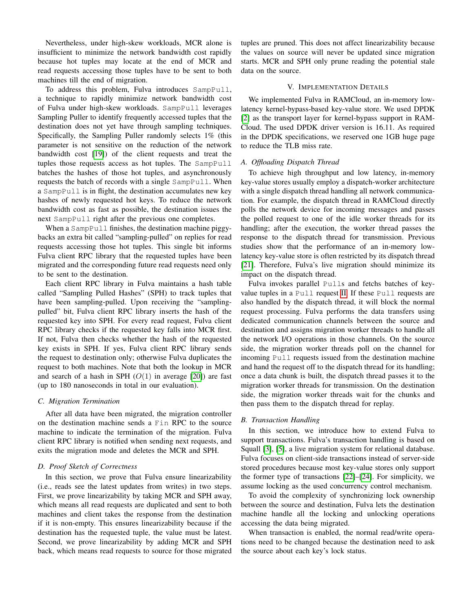Nevertheless, under high-skew workloads, MCR alone is insufficient to minimize the network bandwidth cost rapidly because hot tuples may locate at the end of MCR and read requests accessing those tuples have to be sent to both machines till the end of migration.

To address this problem, Fulva introduces SampPull, a technique to rapidly minimize network bandwidth cost of Fulva under high-skew workloads. SampPull leverages Sampling Puller to identify frequently accessed tuples that the destination does not yet have through sampling techniques. Specifically, the Sampling Puller randomly selects 1% (this parameter is not sensitive on the reduction of the network bandwidth cost [\[19\]](#page-9-17)) of the client requests and treat the tuples those requests access as hot tuples. The SampPull batches the hashes of those hot tuples, and asynchronously requests the batch of records with a single SampPull. When a SampPull is in flight, the destination accumulates new key hashes of newly requested hot keys. To reduce the network bandwidth cost as fast as possible, the destination issues the next SampPull right after the previous one completes.

When a SampPull finishes, the destination machine piggybacks an extra bit called "sampling-pulled" on replies for read requests accessing those hot tuples. This single bit informs Fulva client RPC library that the requested tuples have been migrated and the corresponding future read requests need only to be sent to the destination.

Each client RPC library in Fulva maintains a hash table called "Sampling Pulled Hashes" (SPH) to track tuples that have been sampling-pulled. Upon receiving the "samplingpulled" bit, Fulva client RPC library inserts the hash of the requested key into SPH. For every read request, Fulva client RPC library checks if the requested key falls into MCR first. If not, Fulva then checks whether the hash of the requested key exists in SPH. If yes, Fulva client RPC library sends the request to destination only; otherwise Fulva duplicates the request to both machines. Note that both the lookup in MCR and search of a hash in SPH  $(O(1)$  in average [\[20\]](#page-9-18)) are fast (up to 180 nanoseconds in total in our evaluation).

## *C. Migration Termination*

After all data have been migrated, the migration controller on the destination machine sends a Fin RPC to the source machine to indicate the termination of the migration. Fulva client RPC library is notified when sending next requests, and exits the migration mode and deletes the MCR and SPH.

# <span id="page-4-1"></span>*D. Proof Sketch of Correctness*

In this section, we prove that Fulva ensure linearizability (i.e., reads see the latest updates from writes) in two steps. First, we prove linearizability by taking MCR and SPH away, which means all read requests are duplicated and sent to both machines and client takes the response from the destination if it is non-empty. This ensures linearizability because if the destination has the requested tuple, the value must be latest. Second, we prove linearizability by adding MCR and SPH back, which means read requests to source for those migrated tuples are pruned. This does not affect linearizability because the values on source will never be updated since migration starts. MCR and SPH only prune reading the potential stale data on the source.

#### V. IMPLEMENTATION DETAILS

<span id="page-4-0"></span>We implemented Fulva in RAMCloud, an in-memory lowlatency kernel-bypass-based key-value store. We used DPDK [\[2\]](#page-9-1) as the transport layer for kernel-bypass support in RAM-Cloud. The used DPDK driver version is 16.11. As required in the DPDK specifications, we reserved one 1GB huge page to reduce the TLB miss rate.

# <span id="page-4-2"></span>*A. Offloading Dispatch Thread*

To achieve high throughput and low latency, in-memory key-value stores usually employ a dispatch-worker architecture with a single dispatch thread handling all network communication. For example, the dispatch thread in RAMCloud directly polls the network device for incoming messages and passes the polled request to one of the idle worker threads for its handling; after the execution, the worker thread passes the response to the dispatch thread for transmission. Previous studies show that the performance of an in-memory lowlatency key-value store is often restricted by its dispatch thread [\[21\]](#page-9-19). Therefore, Fulva's live migration should minimize its impact on the dispatch thread.

Fulva invokes parallel Pulls and fetchs batches of keyvalue tuples in a Pull request [II.](#page-2-0) If these Pull requests are also handled by the dispatch thread, it will block the normal request processing. Fulva performs the data transfers using dedicated communication channels between the source and destination and assigns migration worker threads to handle all the network I/O operations in those channels. On the source side, the migration worker threads poll on the channel for incoming Pull requests issued from the destination machine and hand the request off to the dispatch thread for its handling; once a data chunk is built, the dispatch thread passes it to the migration worker threads for transmission. On the destination side, the migration worker threads wait for the chunks and then pass them to the dispatch thread for replay.

### <span id="page-4-3"></span>*B. Transaction Handling*

In this section, we introduce how to extend Fulva to support transactions. Fulva's transaction handling is based on Squall [\[3\]](#page-9-2), [\[5\]](#page-9-4), a live migration system for relational database. Fulva focuses on client-side transactions instead of server-side stored procedures because most key-value stores only support the former type of transactions [\[22\]](#page-9-20)–[\[24\]](#page-9-21). For simplicity, we assume locking as the used concurrency control mechanism.

To avoid the complexity of synchronizing lock ownership between the source and destination, Fulva lets the destination machine handle all the locking and unlocking operations accessing the data being migrated.

When transaction is enabled, the normal read/write operations need to be changed because the destination need to ask the source about each key's lock status.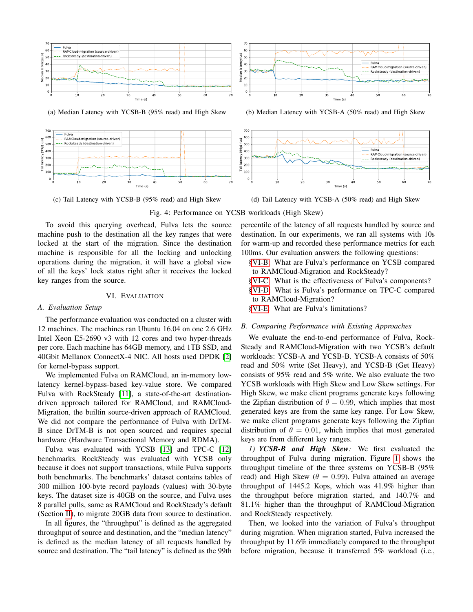<span id="page-5-2"></span>

(a) Median Latency with YCSB-B (95% read) and High Skew



(c) Tail Latency with YCSB-B (95% read) and High Skew



(b) Median Latency with YCSB-A (50% read) and High Skew



(d) Tail Latency with YCSB-A (50% read) and High Skew



To avoid this querying overhead, Fulva lets the source machine push to the destination all the key ranges that were locked at the start of the migration. Since the destination machine is responsible for all the locking and unlocking operations during the migration, it will have a global view of all the keys' lock status right after it receives the locked key ranges from the source.

# VI. EVALUATION

#### <span id="page-5-0"></span>*A. Evaluation Setup*

The performance evaluation was conducted on a cluster with 12 machines. The machines ran Ubuntu 16.04 on one 2.6 GHz Intel Xeon E5-2690 v3 with 12 cores and two hyper-threads per core. Each machine has 64GB memory, and 1TB SSD, and 40Gbit Mellanox ConnectX-4 NIC. All hosts used DPDK [\[2\]](#page-9-1) for kernel-bypass support.

We implemented Fulva on RAMCloud, an in-memory lowlatency kernel-bypass-based key-value store. We compared Fulva with RockSteady [\[11\]](#page-9-8), a state-of-the-art destinationdriven approach tailored for RAMCloud, and RAMCloud-Migration, the builtin source-driven approach of RAMCloud. We did not compare the performance of Fulva with DrTM-B since DrTM-B is not open sourced and requires special hardware (Hardware Transactional Memory and RDMA).

Fulva was evaluated with YCSB [\[13\]](#page-9-10) and TPC-C [\[12\]](#page-9-9) benchmarks. RockSteady was evaluated with YCSB only because it does not support transactions, while Fulva supports both benchmarks. The benchmarks' dataset contains tables of 300 million 100-byte record payloads (values) with 30-byte keys. The dataset size is 40GB on the source, and Fulva uses 8 parallel pulls, same as RAMCloud and RockSteady's default (Section [II\)](#page-2-0), to migrate 20GB data from source to destination.

In all figures, the "throughput" is defined as the aggregated throughput of source and destination, and the "median latency" is defined as the median latency of all requests handled by source and destination. The "tail latency" is defined as the 99th percentile of the latency of all requests handled by source and destination. In our experiments, we ran all systems with 10s for warm-up and recorded these performance metrics for each 100ms. Our evaluation answers the following questions:

- [§VI-B:](#page-5-1) What are Fulva's performance on YCSB compared to RAMCloud-Migration and RockSteady?
- [§VI-C:](#page-7-0) What is the effectiveness of Fulva's components?
- [§VI-D:](#page-8-1) What is Fulva's performance on TPC-C compared to RAMCloud-Migration?

[§VI-E:](#page-8-2) What are Fulva's limitations?

# <span id="page-5-1"></span>*B. Comparing Performance with Existing Approaches*

We evaluate the end-to-end performance of Fulva, Rock-Steady and RAMCloud-Migration with two YCSB's default workloads: YCSB-A and YCSB-B. YCSB-A consists of 50% read and 50% write (Set Heavy), and YCSB-B (Get Heavy) consists of 95% read and 5% write. We also evaluate the two YCSB workloads with High Skew and Low Skew settings. For High Skew, we make client programs generate keys following the Zipfian distribution of  $\theta = 0.99$ , which implies that most generated keys are from the same key range. For Low Skew, we make client programs generate keys following the Zipfian distribution of  $\theta = 0.01$ , which implies that most generated keys are from different key ranges.

*1) YCSB-B and High Skew:* We first evaluated the throughput of Fulva during migration. Figure [1](#page-1-0) shows the throughput timeline of the three systems on YCSB-B (95% read) and High Skew ( $\theta = 0.99$ ). Fulva attained an average throughput of 1445.2 Kops, which was 41.9% higher than the throughput before migration started, and 140.7% and 81.1% higher than the throughput of RAMCloud-Migration and RockSteady respectively.

Then, we looked into the variation of Fulva's throughput during migration. When migration started, Fulva increased the throughput by 11.6% immediately compared to the throughput before migration, because it transferred 5% workload (i.e.,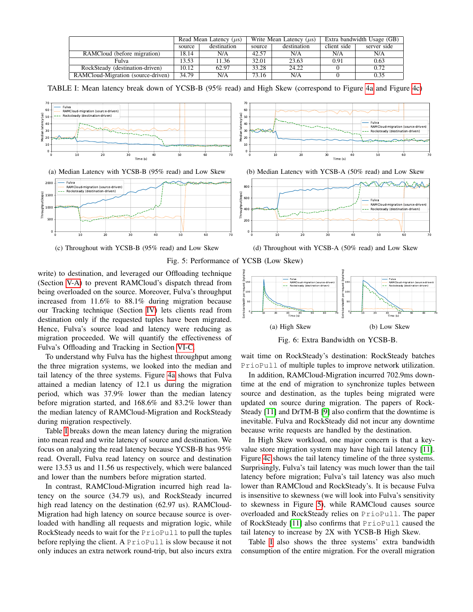<span id="page-6-0"></span>

|                                    | Read Mean Latency $(\mu s)$ |             | Write Mean Latency $(\mu s)$ |             | Extra bandwidth Usage (GB) |             |
|------------------------------------|-----------------------------|-------------|------------------------------|-------------|----------------------------|-------------|
|                                    | source                      | destination | source                       | destination | client side                | server side |
| RAMCloud (before migration)        | 18.14                       | N/A         | 42.57                        | N/A         | N/A                        | N/A         |
| Fulva                              | 13.53                       | 11.36       | 32.01                        | 23.63       | 0.91                       | 0.63        |
| RockSteady (destination-driven)    | 10.12                       | 62.97       | 33.28                        | 24.22       |                            | 0.72        |
| RAMCloud-Migration (source-driven) | 34.79                       | N/A         | 73.16                        | N/A         |                            | 0.35        |

TABLE I: Mean latency break down of YCSB-B (95% read) and High Skew (correspond to Figure [4a](#page-5-2) and Figure [4c\)](#page-5-2)

<span id="page-6-1"></span>



(c) Throughout with YCSB-B (95% read) and Low Skew





(d) Throughout with YCSB-A (50% read) and Low Skew



write) to destination, and leveraged our Offloading technique (Section [V-A\)](#page-4-2) to prevent RAMCloud's dispatch thread from being overloaded on the source. Moreover, Fulva's throughput increased from 11.6% to 88.1% during migration because our Tracking technique (Section [IV\)](#page-3-0) lets clients read from destination only if the requested tuples have been migrated. Hence, Fulva's source load and latency were reducing as migration proceeded. We will quantify the effectiveness of Fulva's Offloading and Tracking in Section [VI-C.](#page-7-0)

To understand why Fulva has the highest throughput among the three migration systems, we looked into the median and tail latency of the three systems. Figure [4a](#page-5-2) shows that Fulva attained a median latency of 12.1 us during the migration period, which was 37.9% lower than the median latency before migration started, and 168.6% and 83.2% lower than the median latency of RAMCloud-Migration and RockSteady during migration respectively.

Table [I](#page-6-0) breaks down the mean latency during the migration into mean read and write latency of source and destination. We focus on analyzing the read latency because YCSB-B has 95% read. Overall, Fulva read latency on source and destination were 13.53 us and 11.56 us respectively, which were balanced and lower than the numbers before migration started.

In contrast, RAMCloud-Migration incurred high read latency on the source (34.79 us), and RockSteady incurred high read latency on the destination (62.97 us). RAMCloud-Migration had high latency on source because source is overloaded with handling all requests and migration logic, while RockSteady needs to wait for the PrioPull to pull the tuples before replying the client. A PrioPull is slow because it not only induces an extra network round-trip, but also incurs extra

<span id="page-6-2"></span>

Fig. 6: Extra Bandwidth on YCSB-B.

wait time on RockSteady's destination: RockSteady batches PrioPull of multiple tuples to improve network utilization.

In addition, RAMCloud-Migration incurred 702.9ms downtime at the end of migration to synchronize tuples between source and destination, as the tuples being migrated were updated on source during migration. The papers of Rock-Steady [\[11\]](#page-9-8) and DrTM-B [\[9\]](#page-9-6) also confirm that the downtime is inevitable. Fulva and RockSteady did not incur any downtime because write requests are handled by the destination.

In High Skew workload, one major concern is that a keyvalue store migration system may have high tail latency [\[11\]](#page-9-8). Figure [4c](#page-5-2) shows the tail latency timeline of the three systems. Surprisingly, Fulva's tail latency was much lower than the tail latency before migration; Fulva's tail latency was also much lower than RAMCloud and RockSteady's. It is because Fulva is insensitive to skewness (we will look into Fulva's sensitivity to skewness in Figure [5\)](#page-6-1), while RAMCloud causes source overloaded and RockSteady relies on PrioPull. The paper of RockSteady [\[11\]](#page-9-8) also confirms that PrioPull caused the tail latency to increase by 2X with YCSB-B High Skew.

Table [I](#page-6-0) also shows the three systems' extra bandwidth consumption of the entire migration. For the overall migration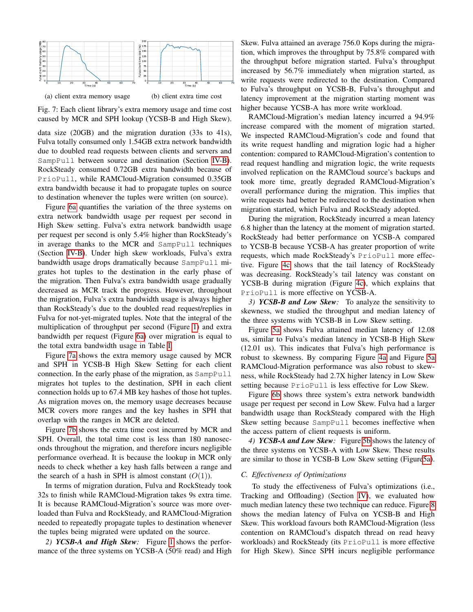<span id="page-7-1"></span>

(a) client extra memory usage (b) client extra time cost

Fig. 7: Each client library's extra memory usage and time cost caused by MCR and SPH lookup (YCSB-B and High Skew).

data size (20GB) and the migration duration (33s to 41s), Fulva totally consumed only 1.54GB extra network bandwidth due to doubled read requests between clients and servers and SampPull between source and destination (Section [IV-B\)](#page-3-1). RockSteady consumed 0.72GB extra bandwidth because of PrioPull, while RAMCloud-Migration consumed 0.35GB extra bandwidth because it had to propagate tuples on source to destination whenever the tuples were written (on source).

Figure [6a](#page-6-2) quantifies the variation of the three systems on extra network bandwidth usage per request per second in High Skew setting. Fulva's extra network bandwidth usage per request per second is only 5.4% higher than RockSteady's in average thanks to the MCR and SampPull techniques (Section [IV-B\)](#page-3-1). Under high skew workloads, Fulva's extra bandwidth usage drops dramatically because SampPull migrates hot tuples to the destination in the early phase of the migration. Then Fulva's extra bandwidth usage gradually decreased as MCR track the progress. However, throughout the migration, Fulva's extra bandwidth usage is always higher than RockSteady's due to the doubled read request/replies in Fulva for not-yet-migrated tuples. Note that the integral of the multiplication of throughput per second (Figure [1\)](#page-1-0) and extra bandwidth per request (Figure [6a\)](#page-6-2) over migration is equal to the total extra bandwidth usage in Table [I.](#page-6-0)

Figure [7a](#page-7-1) shows the extra memory usage caused by MCR and SPH in YCSB-B High Skew Setting for each client connection. In the early phase of the migration, as SampPull migrates hot tuples to the destination, SPH in each client connection holds up to 67.4 MB key hashes of those hot tuples. As migration moves on, the memory usage decreases because MCR covers more ranges and the key hashes in SPH that overlap with the ranges in MCR are deleted.

Figure [7b](#page-7-1) shows the extra time cost incurred by MCR and SPH. Overall, the total time cost is less than 180 nanoseconds throughout the migration, and therefore incurs negligible performance overhead. It is because the lookup in MCR only needs to check whether a key hash falls between a range and the search of a hash in SPH is almost constant  $(O(1))$ .

In terms of migration duration, Fulva and RockSteady took 32s to finish while RAMCloud-Migration takes 9s extra time. It is because RAMCloud-Migration's source was more overloaded than Fulva and RockSteady, and RAMCloud-Migration needed to repeatedly propagate tuples to destination whenever the tuples being migrated were updated on the source.

*2) YCSB-A and High Skew:* Figure [1](#page-1-0) shows the performance of the three systems on YCSB-A (50% read) and High

Skew. Fulva attained an average 756.0 Kops during the migration, which improves the throughput by 75.8% compared with the throughput before migration started. Fulva's throughput increased by 56.7% immediately when migration started, as write requests were redirected to the destination. Compared to Fulva's throughput on YCSB-B, Fulva's throughput and latency improvement at the migration starting moment was higher because YCSB-A has more write workload.

RAMCloud-Migration's median latency incurred a 94.9% increase compared with the moment of migration started. We inspected RAMCloud-Migration's code and found that its write request handling and migration logic had a higher contention: compared to RAMCloud-Migration's contention to read request handling and migration logic, the write requests involved replication on the RAMCloud source's backups and took more time, greatly degraded RAMCloud-Migration's overall performance during the migration. This implies that write requests had better be redirected to the destination when migration started, which Fulva and RockSteady adopted.

During the migration, RockSteady incurred a mean latency 6.8 higher than the latency at the moment of migration started. RockSteady had better performance on YCSB-A compared to YCSB-B because YCSB-A has greater proportion of write requests, which made RockSteady's PrioPull more effective. Figure [4c](#page-5-2) shows that the tail latency of RockSteady was decreasing. RockSteady's tail latency was constant on YCSB-B during migration (Figure [4c\)](#page-5-2), which explains that PrioPull is more effective on YCSB-A.

*3) YCSB-B and Low Skew:* To analyze the sensitivity to skewness, we studied the throughput and median latency of the three systems with YCSB-B in Low Skew setting.

Figure [5a](#page-6-1) shows Fulva attained median latency of 12.08 us, similar to Fulva's median latency in YCSB-B High Skew (12.01 us). This indicates that Fulva's high performance is robust to skewness. By comparing Figure [4a](#page-5-2) and Figure [5a](#page-6-1) RAMCloud-Migration performance was also robust to skewness, while RockSteady had 2.7X higher latency in Low Skew setting because PrioPull is less effective for Low Skew.

Figure [6b](#page-6-2) shows three system's extra network bandwidth usage per request per second in Low Skew. Fulva had a larger bandwidth usage than RockSteady compared with the High Skew setting because SampPull becomes ineffective when the access pattern of client requests is uniform.

*4) YCSB-A and Low Skew:* Figure [5b](#page-6-1) shows the latency of the three systems on YCSB-A with Low Skew. These results are similar to those in YCSB-B Low Skew setting (Figur[e5a\)](#page-6-1).

#### <span id="page-7-0"></span>*C. Effectiveness of Optimizations*

To study the effectiveness of Fulva's optimizations (i.e., Tracking and Offloading) (Section [IV\)](#page-3-0), we evaluated how much median latency these two technique can reduce. Figure [8](#page-8-3) shows the median latency of Fulva on YCSB-B and High Skew. This workload favours both RAMCloud-Migration (less contention on RAMCloud's dispatch thread on read heavy workloads) and RockSteady (its PrioPull is more effective for High Skew). Since SPH incurs negligible performance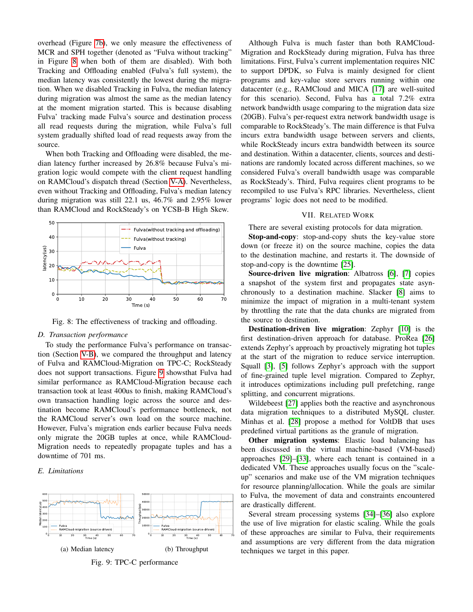overhead (Figure [7b\)](#page-7-1), we only measure the effectiveness of MCR and SPH together (denoted as "Fulva without tracking" in Figure [8](#page-8-3) when both of them are disabled). With both Tracking and Offloading enabled (Fulva's full system), the median latency was consistently the lowest during the migration. When we disabled Tracking in Fulva, the median latency during migration was almost the same as the median latency at the moment migration started. This is because disabling Fulva' tracking made Fulva's source and destination process all read requests during the migration, while Fulva's full system gradually shifted load of read requests away from the source.

When both Tracking and Offloading were disabled, the median latency further increased by 26.8% because Fulva's migration logic would compete with the client request handling on RAMCloud's dispatch thread (Section [V-A\)](#page-4-2). Nevertheless, even without Tracking and Offloading, Fulva's median latency during migration was still 22.1 us, 46.7% and 2.95% lower than RAMCloud and RockSteady's on YCSB-B High Skew.

<span id="page-8-3"></span>

Fig. 8: The effectiveness of tracking and offloading.

### <span id="page-8-1"></span>*D. Transaction performance*

To study the performance Fulva's performance on transaction (Section [V-B\)](#page-4-3), we compared the throughput and latency of Fulva and RAMCloud-Migration on TPC-C; RockSteady does not support transactions. Figure [9](#page-8-4) showsthat Fulva had similar performance as RAMCloud-Migration because each transaction took at least 400us to finish, making RAMCloud's own transaction handling logic across the source and destination become RAMCloud's performance bottleneck, not the RAMCloud server's own load on the source machine. However, Fulva's migration ends earlier because Fulva needs only migrate the 20GB tuples at once, while RAMCloud-Migration needs to repeatedly propagate tuples and has a downtime of 701 ms.

# <span id="page-8-2"></span>*E. Limitations*

<span id="page-8-4"></span>

Fig. 9: TPC-C performance

Although Fulva is much faster than both RAMCloud-Migration and RockSteady during migration, Fulva has three limitations. First, Fulva's current implementation requires NIC to support DPDK, so Fulva is mainly designed for client programs and key-value store servers running within one datacenter (e.g., RAMCloud and MICA [\[17\]](#page-9-15) are well-suited for this scenario). Second, Fulva has a total 7.2% extra network bandwidth usage comparing to the migration data size (20GB). Fulva's per-request extra network bandwidth usage is comparable to RockSteady's. The main difference is that Fulva incurs extra bandwidth usage between servers and clients, while RockSteady incurs extra bandwidth between its source and destination. Within a datacenter, clients, sources and destinations are randomly located across different machines, so we considered Fulva's overall bandwidth usage was comparable as RockSteady's. Third, Fulva requires client programs to be recompiled to use Fulva's RPC libraries. Nevertheless, client programs' logic does not need to be modified.

#### VII. RELATED WORK

<span id="page-8-0"></span>There are several existing protocols for data migration.

Stop-and-copy: stop-and-copy shuts the key-value store down (or freeze it) on the source machine, copies the data to the destination machine, and restarts it. The downside of stop-and-copy is the downtime [\[25\]](#page-9-22).

Source-driven live migration: Albatross [\[6\]](#page-9-5), [\[7\]](#page-9-23) copies a snapshot of the system first and propagates state asynchronously to a destination machine. Slacker [\[8\]](#page-9-24) aims to minimize the impact of migration in a multi-tenant system by throttling the rate that the data chunks are migrated from the source to destination.

Destination-driven live migration: Zephyr [\[10\]](#page-9-7) is the first destination-driven approach for database. ProRea [\[26\]](#page-9-25) extends Zephyr's approach by proactively migrating hot tuples at the start of the migration to reduce service interruption. Squall [\[3\]](#page-9-2), [\[5\]](#page-9-4) follows Zephyr's approach with the support of fine-grained tuple level migration. Compared to Zephyr, it introduces optimizations including pull prefetching, range splitting, and concurrent migrations.

Wildebeest [\[27\]](#page-9-26) applies both the reactive and asynchronous data migration techniques to a distributed MySQL cluster. Minhas et al. [\[28\]](#page-9-27) propose a method for VoltDB that uses predefined virtual partitions as the granule of migration.

Other migration systems: Elastic load balancing has been discussed in the virtual machine-based (VM-based) approaches [\[29\]](#page-9-28)–[\[33\]](#page-9-29), where each tenant is contained in a dedicated VM. These approaches usually focus on the "scaleup" scenarios and make use of the VM migration techniques for resource planning/allocation. While the goals are similar to Fulva, the movement of data and constraints encountered are drastically different.

Several stream processing systems [\[34\]](#page-9-30)–[\[36\]](#page-9-31) also explore the use of live migration for elastic scaling. While the goals of these approaches are similar to Fulva, their requirements and assumptions are very different from the data migration techniques we target in this paper.